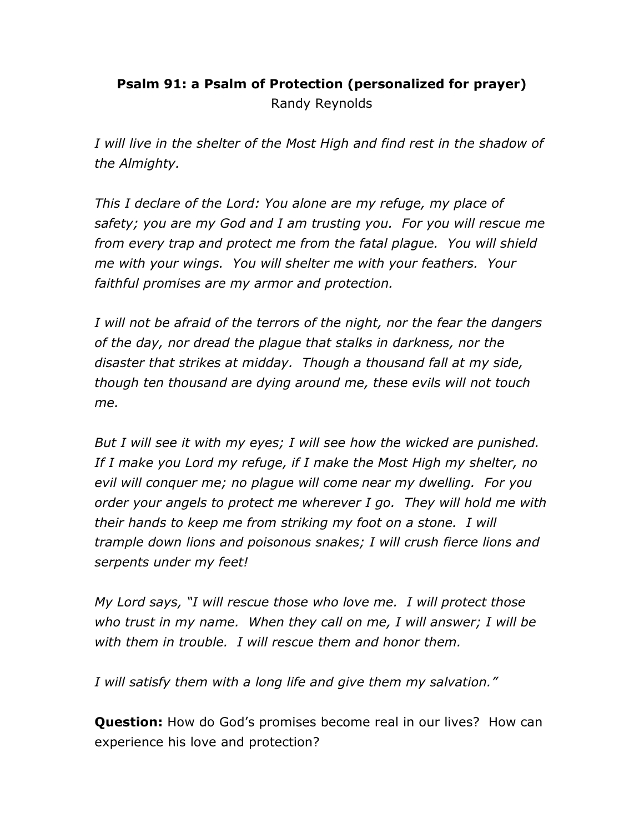## Psalm 91: a Psalm of Protection (personalized for prayer)

Randy Reynolds

I will live in the shelter of the Most High and find rest in the shadow of the Almighty.

This I declare of the Lord: You alone are my refuge, my place of safety; you are my God and I am trusting you. For you will rescue me from every trap and protect me from the fatal plague. You will shield me with your wings. You will shelter me with your feathers. Your faithful promises are my armor and protection.

I will not be afraid of the terrors of the night, nor the fear the dangers of the day, nor dread the plague that stalks in darkness, nor the disaster that strikes at midday. Though a thousand fall at my side, though ten thousand are dying around me, these evils will not touch me.

But I will see it with my eyes; I will see how the wicked are punished. If I make you Lord my refuge, if I make the Most High my shelter, no evil will conquer me; no plague will come near my dwelling. For you order your angels to protect me wherever I go. They will hold me with their hands to keep me from striking my foot on a stone. I will trample down lions and poisonous snakes; I will crush fierce lions and serpents under my feet!

My Lord says, "I will rescue those who love me. I will protect those who trust in my name. When they call on me, I will answer; I will be with them in trouble. I will rescue them and honor them.

I will satisfy them with a long life and give them my salvation."

Question: How do God's promises become real in our lives? How can experience his love and protection?